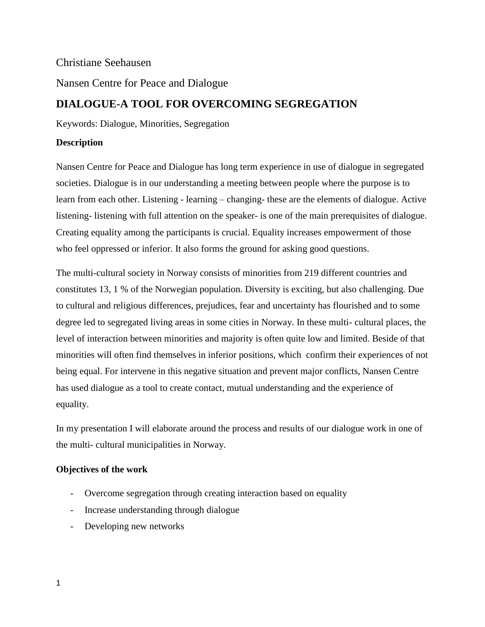# Christiane Seehausen

Nansen Centre for Peace and Dialogue

# **DIALOGUE-A TOOL FOR OVERCOMING SEGREGATION**

Keywords: Dialogue, Minorities, Segregation

# **Description**

Nansen Centre for Peace and Dialogue has long term experience in use of dialogue in segregated societies. Dialogue is in our understanding a meeting between people where the purpose is to learn from each other. Listening - learning – changing- these are the elements of dialogue. Active listening- listening with full attention on the speaker- is one of the main prerequisites of dialogue. Creating equality among the participants is crucial. Equality increases empowerment of those who feel oppressed or inferior. It also forms the ground for asking good questions.

The multi-cultural society in Norway consists of minorities from 219 different countries and constitutes 13, 1 % of the Norwegian population. Diversity is exciting, but also challenging. Due to cultural and religious differences, prejudices, fear and uncertainty has flourished and to some degree led to segregated living areas in some cities in Norway. In these multi- cultural places, the level of interaction between minorities and majority is often quite low and limited. Beside of that minorities will often find themselves in inferior positions, which confirm their experiences of not being equal. For intervene in this negative situation and prevent major conflicts, Nansen Centre has used dialogue as a tool to create contact, mutual understanding and the experience of equality.

In my presentation I will elaborate around the process and results of our dialogue work in one of the multi- cultural municipalities in Norway.

# **Objectives of the work**

- Overcome segregation through creating interaction based on equality
- Increase understanding through dialogue
- Developing new networks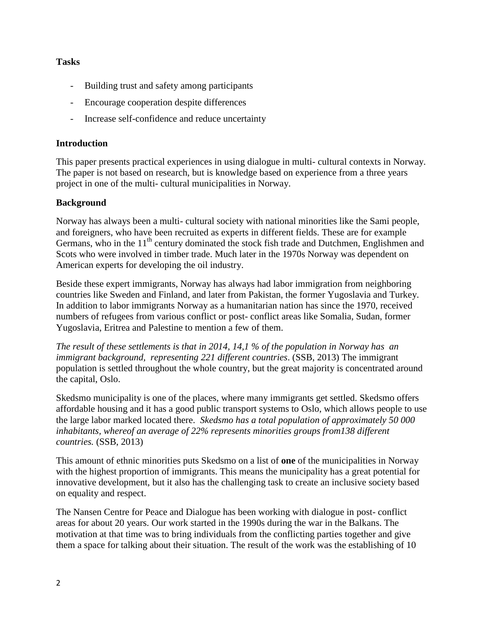## **Tasks**

- Building trust and safety among participants
- Encourage cooperation despite differences
- Increase self-confidence and reduce uncertainty

#### **Introduction**

This paper presents practical experiences in using dialogue in multi- cultural contexts in Norway. The paper is not based on research, but is knowledge based on experience from a three years project in one of the multi- cultural municipalities in Norway.

### **Background**

Norway has always been a multi- cultural society with national minorities like the Sami people, and foreigners, who have been recruited as experts in different fields. These are for example Germans, who in the 11<sup>th</sup> century dominated the stock fish trade and Dutchmen, Englishmen and Scots who were involved in timber trade. Much later in the 1970s Norway was dependent on American experts for developing the oil industry.

Beside these expert immigrants, Norway has always had labor immigration from neighboring countries like Sweden and Finland, and later from Pakistan, the former Yugoslavia and Turkey. In addition to labor immigrants Norway as a humanitarian nation has since the 1970, received numbers of refugees from various conflict or post- conflict areas like Somalia, Sudan, former Yugoslavia, Eritrea and Palestine to mention a few of them.

*The result of these settlements is that in 2014, 14,1 % of the population in Norway has an immigrant background, representing 221 different countries*. (SSB, 2013) The immigrant population is settled throughout the whole country, but the great majority is concentrated around the capital, Oslo.

Skedsmo municipality is one of the places, where many immigrants get settled. Skedsmo offers affordable housing and it has a good public transport systems to Oslo, which allows people to use the large labor marked located there. *Skedsmo has a total population of approximately 50 000 inhabitants, whereof an average of 22% represents minorities groups from138 different countries.* (SSB, 2013)

This amount of ethnic minorities puts Skedsmo on a list of **one** of the municipalities in Norway with the highest proportion of immigrants. This means the municipality has a great potential for innovative development, but it also has the challenging task to create an inclusive society based on equality and respect.

The Nansen Centre for Peace and Dialogue has been working with dialogue in post- conflict areas for about 20 years. Our work started in the 1990s during the war in the Balkans. The motivation at that time was to bring individuals from the conflicting parties together and give them a space for talking about their situation. The result of the work was the establishing of 10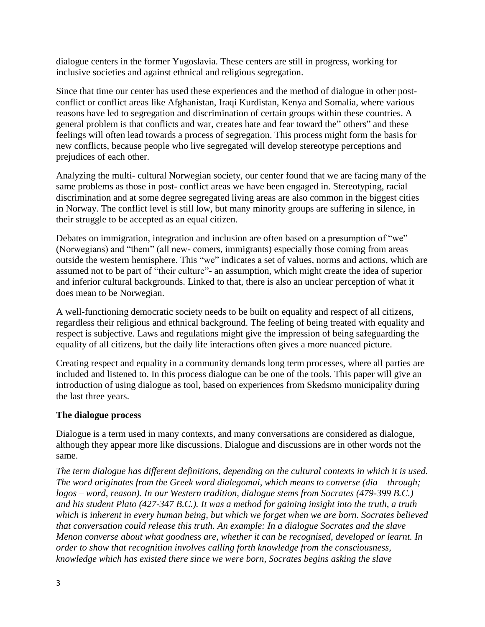dialogue centers in the former Yugoslavia. These centers are still in progress, working for inclusive societies and against ethnical and religious segregation.

Since that time our center has used these experiences and the method of dialogue in other postconflict or conflict areas like Afghanistan, Iraqi Kurdistan, Kenya and Somalia, where various reasons have led to segregation and discrimination of certain groups within these countries. A general problem is that conflicts and war, creates hate and fear toward the" others" and these feelings will often lead towards a process of segregation. This process might form the basis for new conflicts, because people who live segregated will develop stereotype perceptions and prejudices of each other.

Analyzing the multi- cultural Norwegian society, our center found that we are facing many of the same problems as those in post- conflict areas we have been engaged in. Stereotyping, racial discrimination and at some degree segregated living areas are also common in the biggest cities in Norway. The conflict level is still low, but many minority groups are suffering in silence, in their struggle to be accepted as an equal citizen.

Debates on immigration, integration and inclusion are often based on a presumption of "we" (Norwegians) and "them" (all new- comers, immigrants) especially those coming from areas outside the western hemisphere. This "we" indicates a set of values, norms and actions, which are assumed not to be part of "their culture"- an assumption, which might create the idea of superior and inferior cultural backgrounds. Linked to that, there is also an unclear perception of what it does mean to be Norwegian.

A well-functioning democratic society needs to be built on equality and respect of all citizens, regardless their religious and ethnical background. The feeling of being treated with equality and respect is subjective. Laws and regulations might give the impression of being safeguarding the equality of all citizens, but the daily life interactions often gives a more nuanced picture.

Creating respect and equality in a community demands long term processes, where all parties are included and listened to. In this process dialogue can be one of the tools. This paper will give an introduction of using dialogue as tool, based on experiences from Skedsmo municipality during the last three years.

# **The dialogue process**

Dialogue is a term used in many contexts, and many conversations are considered as dialogue, although they appear more like discussions. Dialogue and discussions are in other words not the same.

*The term dialogue has different definitions, depending on the cultural contexts in which it is used. The word originates from the Greek word dialegomai, which means to converse (dia – through; logos – word, reason). In our Western tradition, dialogue stems from Socrates (479-399 B.C.) and his student Plato (427-347 B.C.). It was a method for gaining insight into the truth, a truth which is inherent in every human being, but which we forget when we are born. Socrates believed that conversation could release this truth. An example: In a dialogue Socrates and the slave Menon converse about what goodness are, whether it can be recognised, developed or learnt. In order to show that recognition involves calling forth knowledge from the consciousness, knowledge which has existed there since we were born, Socrates begins asking the slave*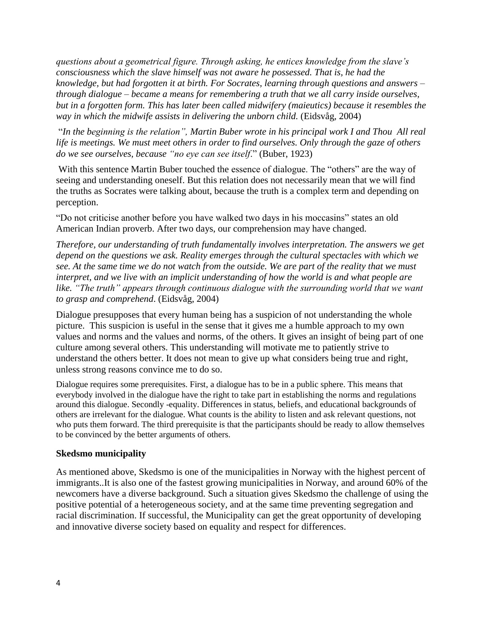*questions about a geometrical figure. Through asking, he entices knowledge from the slave's consciousness which the slave himself was not aware he possessed. That is, he had the knowledge, but had forgotten it at birth. For Socrates, learning through questions and answers – through dialogue – became a means for remembering a truth that we all carry inside ourselves, but in a forgotten form. This has later been called midwifery (maieutics) because it resembles the way in which the midwife assists in delivering the unborn child.* (Eidsvåg, 2004)

"*In the beginning is the relation", Martin Buber wrote in his principal work I and Thou All real life is meetings. We must meet others in order to find ourselves. Only through the gaze of others do we see ourselves, because "no eye can see itself*." (Buber, 1923)

With this sentence Martin Buber touched the essence of dialogue. The "others" are the way of seeing and understanding oneself. But this relation does not necessarily mean that we will find the truths as Socrates were talking about, because the truth is a complex term and depending on perception.

"Do not criticise another before you have walked two days in his moccasins" states an old American Indian proverb. After two days, our comprehension may have changed.

*Therefore, our understanding of truth fundamentally involves interpretation. The answers we get depend on the questions we ask. Reality emerges through the cultural spectacles with which we see. At the same time we do not watch from the outside. We are part of the reality that we must interpret, and we live with an implicit understanding of how the world is and what people are*  like. "The truth" appears through continuous dialogue with the surrounding world that we want *to grasp and comprehend*. (Eidsvåg, 2004)

Dialogue presupposes that every human being has a suspicion of not understanding the whole picture. This suspicion is useful in the sense that it gives me a humble approach to my own values and norms and the values and norms, of the others. It gives an insight of being part of one culture among several others. This understanding will motivate me to patiently strive to understand the others better. It does not mean to give up what considers being true and right, unless strong reasons convince me to do so.

Dialogue requires some prerequisites. First, a dialogue has to be in a public sphere. This means that everybody involved in the dialogue have the right to take part in establishing the norms and regulations around this dialogue. Secondly -equality. Differences in status, beliefs, and educational backgrounds of others are irrelevant for the dialogue. What counts is the ability to listen and ask relevant questions, not who puts them forward. The third prerequisite is that the participants should be ready to allow themselves to be convinced by the better arguments of others.

#### **Skedsmo municipality**

As mentioned above, Skedsmo is one of the municipalities in Norway with the highest percent of immigrants..It is also one of the fastest growing municipalities in Norway, and around 60% of the newcomers have a diverse background. Such a situation gives Skedsmo the challenge of using the positive potential of a heterogeneous society, and at the same time preventing segregation and racial discrimination. If successful, the Municipality can get the great opportunity of developing and innovative diverse society based on equality and respect for differences.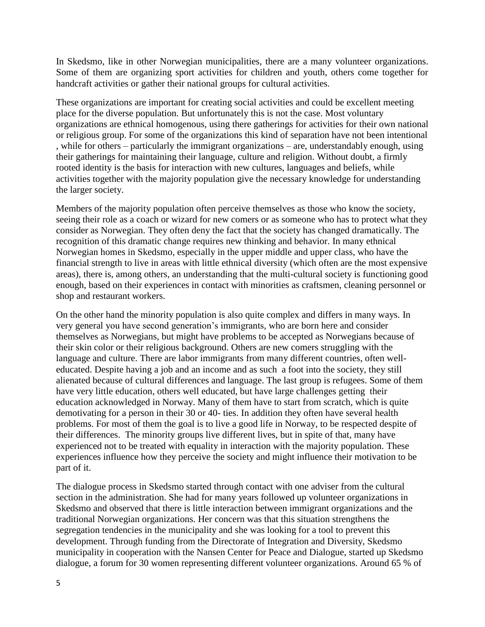In Skedsmo, like in other Norwegian municipalities, there are a many volunteer organizations. Some of them are organizing sport activities for children and youth, others come together for handcraft activities or gather their national groups for cultural activities.

These organizations are important for creating social activities and could be excellent meeting place for the diverse population. But unfortunately this is not the case. Most voluntary organizations are ethnical homogenous, using there gatherings for activities for their own national or religious group. For some of the organizations this kind of separation have not been intentional , while for others – particularly the immigrant organizations – are, understandably enough, using their gatherings for maintaining their language, culture and religion. Without doubt, a firmly rooted identity is the basis for interaction with new cultures, languages and beliefs, while activities together with the majority population give the necessary knowledge for understanding the larger society.

Members of the majority population often perceive themselves as those who know the society, seeing their role as a coach or wizard for new comers or as someone who has to protect what they consider as Norwegian. They often deny the fact that the society has changed dramatically. The recognition of this dramatic change requires new thinking and behavior. In many ethnical Norwegian homes in Skedsmo, especially in the upper middle and upper class, who have the financial strength to live in areas with little ethnical diversity (which often are the most expensive areas), there is, among others, an understanding that the multi-cultural society is functioning good enough, based on their experiences in contact with minorities as craftsmen, cleaning personnel or shop and restaurant workers.

On the other hand the minority population is also quite complex and differs in many ways. In very general you have second generation's immigrants, who are born here and consider themselves as Norwegians, but might have problems to be accepted as Norwegians because of their skin color or their religious background. Others are new comers struggling with the language and culture. There are labor immigrants from many different countries, often welleducated. Despite having a job and an income and as such a foot into the society, they still alienated because of cultural differences and language. The last group is refugees. Some of them have very little education, others well educated, but have large challenges getting their education acknowledged in Norway. Many of them have to start from scratch, which is quite demotivating for a person in their 30 or 40- ties. In addition they often have several health problems. For most of them the goal is to live a good life in Norway, to be respected despite of their differences. The minority groups live different lives, but in spite of that, many have experienced not to be treated with equality in interaction with the majority population. These experiences influence how they perceive the society and might influence their motivation to be part of it.

The dialogue process in Skedsmo started through contact with one adviser from the cultural section in the administration. She had for many years followed up volunteer organizations in Skedsmo and observed that there is little interaction between immigrant organizations and the traditional Norwegian organizations. Her concern was that this situation strengthens the segregation tendencies in the municipality and she was looking for a tool to prevent this development. Through funding from the Directorate of Integration and Diversity, Skedsmo municipality in cooperation with the Nansen Center for Peace and Dialogue, started up Skedsmo dialogue, a forum for 30 women representing different volunteer organizations. Around 65 % of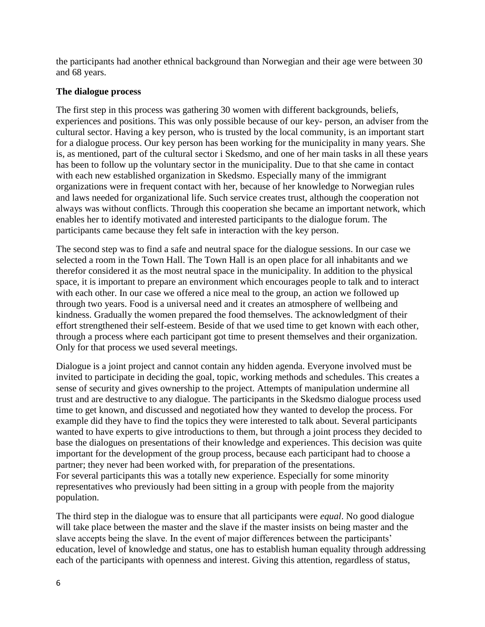the participants had another ethnical background than Norwegian and their age were between 30 and 68 years.

## **The dialogue process**

The first step in this process was gathering 30 women with different backgrounds, beliefs, experiences and positions. This was only possible because of our key- person, an adviser from the cultural sector. Having a key person, who is trusted by the local community, is an important start for a dialogue process. Our key person has been working for the municipality in many years. She is, as mentioned, part of the cultural sector i Skedsmo, and one of her main tasks in all these years has been to follow up the voluntary sector in the municipality. Due to that she came in contact with each new established organization in Skedsmo. Especially many of the immigrant organizations were in frequent contact with her, because of her knowledge to Norwegian rules and laws needed for organizational life. Such service creates trust, although the cooperation not always was without conflicts. Through this cooperation she became an important network, which enables her to identify motivated and interested participants to the dialogue forum. The participants came because they felt safe in interaction with the key person.

The second step was to find a safe and neutral space for the dialogue sessions. In our case we selected a room in the Town Hall. The Town Hall is an open place for all inhabitants and we therefor considered it as the most neutral space in the municipality. In addition to the physical space, it is important to prepare an environment which encourages people to talk and to interact with each other. In our case we offered a nice meal to the group, an action we followed up through two years. Food is a universal need and it creates an atmosphere of wellbeing and kindness. Gradually the women prepared the food themselves. The acknowledgment of their effort strengthened their self-esteem. Beside of that we used time to get known with each other, through a process where each participant got time to present themselves and their organization. Only for that process we used several meetings.

Dialogue is a joint project and cannot contain any hidden agenda. Everyone involved must be invited to participate in deciding the goal, topic, working methods and schedules. This creates a sense of security and gives ownership to the project. Attempts of manipulation undermine all trust and are destructive to any dialogue. The participants in the Skedsmo dialogue process used time to get known, and discussed and negotiated how they wanted to develop the process. For example did they have to find the topics they were interested to talk about. Several participants wanted to have experts to give introductions to them, but through a joint process they decided to base the dialogues on presentations of their knowledge and experiences. This decision was quite important for the development of the group process, because each participant had to choose a partner; they never had been worked with, for preparation of the presentations. For several participants this was a totally new experience. Especially for some minority representatives who previously had been sitting in a group with people from the majority population.

The third step in the dialogue was to ensure that all participants were *equal*. No good dialogue will take place between the master and the slave if the master insists on being master and the slave accepts being the slave. In the event of major differences between the participants' education, level of knowledge and status, one has to establish human equality through addressing each of the participants with openness and interest. Giving this attention, regardless of status,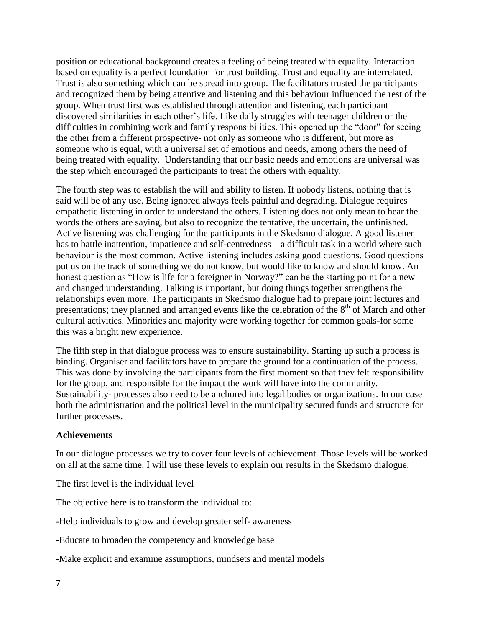position or educational background creates a feeling of being treated with equality. Interaction based on equality is a perfect foundation for trust building. Trust and equality are interrelated. Trust is also something which can be spread into group. The facilitators trusted the participants and recognized them by being attentive and listening and this behaviour influenced the rest of the group. When trust first was established through attention and listening, each participant discovered similarities in each other's life. Like daily struggles with teenager children or the difficulties in combining work and family responsibilities. This opened up the "door" for seeing the other from a different prospective- not only as someone who is different, but more as someone who is equal, with a universal set of emotions and needs, among others the need of being treated with equality. Understanding that our basic needs and emotions are universal was the step which encouraged the participants to treat the others with equality.

The fourth step was to establish the will and ability to listen. If nobody listens, nothing that is said will be of any use. Being ignored always feels painful and degrading. Dialogue requires empathetic listening in order to understand the others. Listening does not only mean to hear the words the others are saying, but also to recognize the tentative, the uncertain, the unfinished. Active listening was challenging for the participants in the Skedsmo dialogue. A good listener has to battle inattention, impatience and self-centredness – a difficult task in a world where such behaviour is the most common. Active listening includes asking good questions. Good questions put us on the track of something we do not know, but would like to know and should know. An honest question as "How is life for a foreigner in Norway?" can be the starting point for a new and changed understanding. Talking is important, but doing things together strengthens the relationships even more. The participants in Skedsmo dialogue had to prepare joint lectures and presentations; they planned and arranged events like the celebration of the 8<sup>th</sup> of March and other cultural activities. Minorities and majority were working together for common goals-for some this was a bright new experience.

The fifth step in that dialogue process was to ensure sustainability. Starting up such a process is binding. Organiser and facilitators have to prepare the ground for a continuation of the process. This was done by involving the participants from the first moment so that they felt responsibility for the group, and responsible for the impact the work will have into the community. Sustainability- processes also need to be anchored into legal bodies or organizations. In our case both the administration and the political level in the municipality secured funds and structure for further processes.

#### **Achievements**

In our dialogue processes we try to cover four levels of achievement. Those levels will be worked on all at the same time. I will use these levels to explain our results in the Skedsmo dialogue.

The first level is the individual level

The objective here is to transform the individual to:

-Help individuals to grow and develop greater self- awareness

-Educate to broaden the competency and knowledge base

-Make explicit and examine assumptions, mindsets and mental models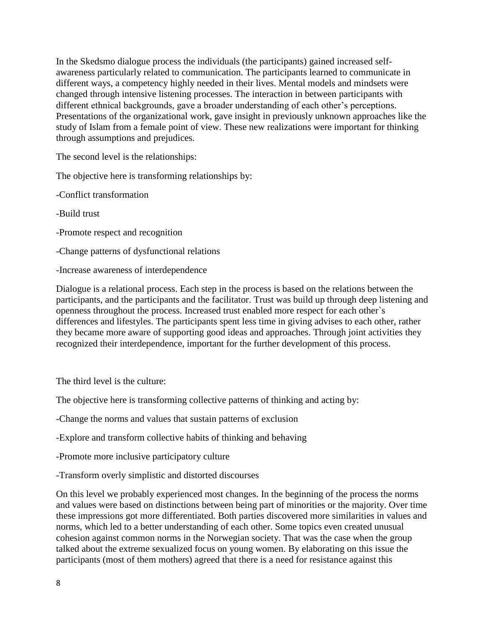In the Skedsmo dialogue process the individuals (the participants) gained increased selfawareness particularly related to communication. The participants learned to communicate in different ways, a competency highly needed in their lives. Mental models and mindsets were changed through intensive listening processes. The interaction in between participants with different ethnical backgrounds, gave a broader understanding of each other's perceptions. Presentations of the organizational work, gave insight in previously unknown approaches like the study of Islam from a female point of view. These new realizations were important for thinking through assumptions and prejudices.

The second level is the relationships:

The objective here is transforming relationships by:

-Conflict transformation

-Build trust

-Promote respect and recognition

-Change patterns of dysfunctional relations

-Increase awareness of interdependence

Dialogue is a relational process. Each step in the process is based on the relations between the participants, and the participants and the facilitator. Trust was build up through deep listening and openness throughout the process. Increased trust enabled more respect for each other`s differences and lifestyles. The participants spent less time in giving advises to each other, rather they became more aware of supporting good ideas and approaches. Through joint activities they recognized their interdependence, important for the further development of this process.

The third level is the culture:

The objective here is transforming collective patterns of thinking and acting by:

-Change the norms and values that sustain patterns of exclusion

-Explore and transform collective habits of thinking and behaving

-Promote more inclusive participatory culture

-Transform overly simplistic and distorted discourses

On this level we probably experienced most changes. In the beginning of the process the norms and values were based on distinctions between being part of minorities or the majority. Over time these impressions got more differentiated. Both parties discovered more similarities in values and norms, which led to a better understanding of each other. Some topics even created unusual cohesion against common norms in the Norwegian society. That was the case when the group talked about the extreme sexualized focus on young women. By elaborating on this issue the participants (most of them mothers) agreed that there is a need for resistance against this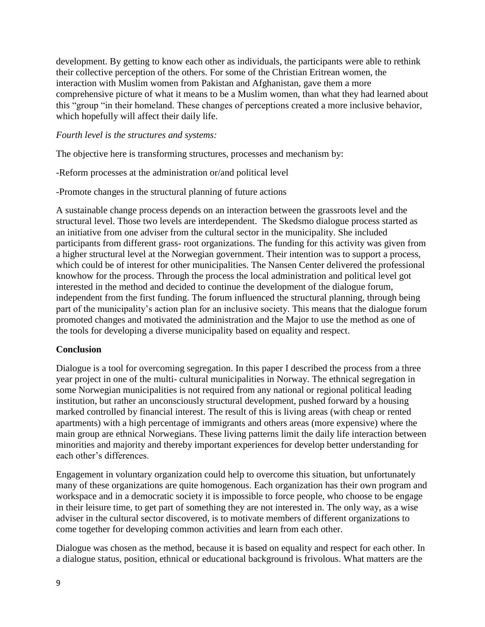development. By getting to know each other as individuals, the participants were able to rethink their collective perception of the others. For some of the Christian Eritrean women, the interaction with Muslim women from Pakistan and Afghanistan, gave them a more comprehensive picture of what it means to be a Muslim women, than what they had learned about this "group "in their homeland. These changes of perceptions created a more inclusive behavior, which hopefully will affect their daily life.

#### *Fourth level is the structures and systems:*

The objective here is transforming structures, processes and mechanism by:

-Reform processes at the administration or/and political level

-Promote changes in the structural planning of future actions

A sustainable change process depends on an interaction between the grassroots level and the structural level. Those two levels are interdependent. The Skedsmo dialogue process started as an initiative from one adviser from the cultural sector in the municipality. She included participants from different grass- root organizations. The funding for this activity was given from a higher structural level at the Norwegian government. Their intention was to support a process, which could be of interest for other municipalities. The Nansen Center delivered the professional knowhow for the process. Through the process the local administration and political level got interested in the method and decided to continue the development of the dialogue forum, independent from the first funding. The forum influenced the structural planning, through being part of the municipality's action plan for an inclusive society. This means that the dialogue forum promoted changes and motivated the administration and the Major to use the method as one of the tools for developing a diverse municipality based on equality and respect.

# **Conclusion**

Dialogue is a tool for overcoming segregation. In this paper I described the process from a three year project in one of the multi- cultural municipalities in Norway. The ethnical segregation in some Norwegian municipalities is not required from any national or regional political leading institution, but rather an unconsciously structural development, pushed forward by a housing marked controlled by financial interest. The result of this is living areas (with cheap or rented apartments) with a high percentage of immigrants and others areas (more expensive) where the main group are ethnical Norwegians. These living patterns limit the daily life interaction between minorities and majority and thereby important experiences for develop better understanding for each other's differences.

Engagement in voluntary organization could help to overcome this situation, but unfortunately many of these organizations are quite homogenous. Each organization has their own program and workspace and in a democratic society it is impossible to force people, who choose to be engage in their leisure time, to get part of something they are not interested in. The only way, as a wise adviser in the cultural sector discovered, is to motivate members of different organizations to come together for developing common activities and learn from each other.

Dialogue was chosen as the method, because it is based on equality and respect for each other. In a dialogue status, position, ethnical or educational background is frivolous. What matters are the